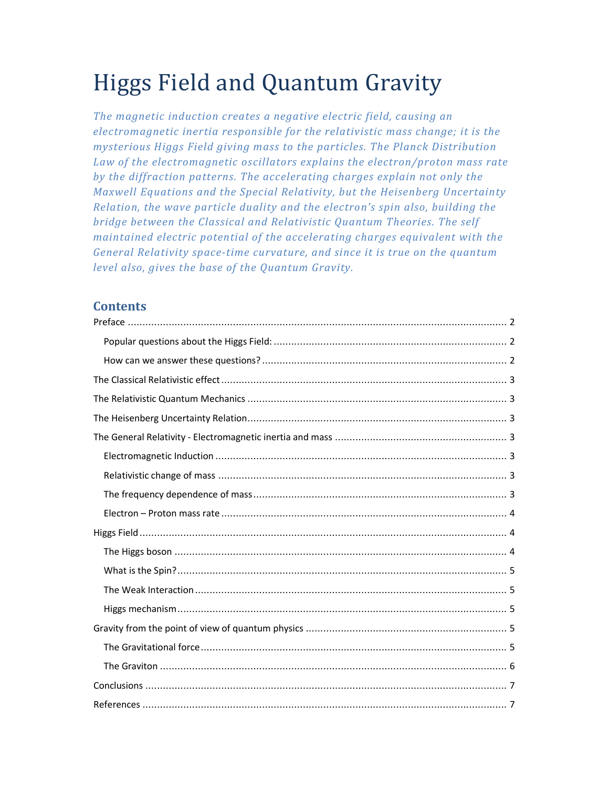# Higgs Field and Quantum Gravity

*The magnetic induction creates a negative electric field, causing an electromagnetic inertia responsible for the relativistic mass change; it is the mysterious Higgs Field giving mass to the particles. The Planck Distribution Law of the electromagnetic oscillators explains the electron/proton mass rate by the diffraction patterns. The accelerating charges explain not only the Maxwell Equations and the Special Relativity, but the Heisenberg Uncertainty Relation, the wave particle duality and the electron's spin also, building the bridge between the Classical and Relativistic Quantum Theories. The self maintained electric potential of the accelerating charges equivalent with the General Relativity space-time curvature, and since it is true on the quantum level also, gives the base of the Quantum Gravity.* 

## **Contents**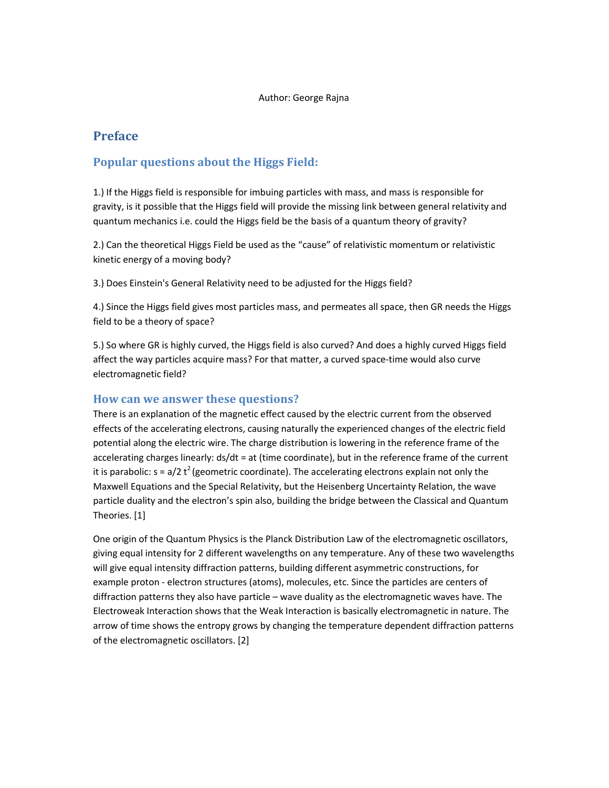## **Preface**

## **Popular questions about the Higgs Field:**

1.) If the Higgs field is responsible for imbuing particles with mass, and mass is responsible for gravity, is it possible that the Higgs field will provide the missing link between general relativity and quantum mechanics i.e. could the Higgs field be the basis of a quantum theory of gravity?

2.) Can the theoretical Higgs Field be used as the "cause" of relativistic momentum or relativistic kinetic energy of a moving body?

3.) Does Einstein's General Relativity need to be adjusted for the Higgs field?

4.) Since the Higgs field gives most particles mass, and permeates all space, then GR needs the Higgs field to be a theory of space?

5.) So where GR is highly curved, the Higgs field is also curved? And does a highly curved Higgs field affect the way particles acquire mass? For that matter, a curved space-time would also curve electromagnetic field?

#### **How can we answer these questions?**

There is an explanation of the magnetic effect caused by the electric current from the observed effects of the accelerating electrons, causing naturally the experienced changes of the electric field potential along the electric wire. The charge distribution is lowering in the reference frame of the accelerating charges linearly: ds/dt = at (time coordinate), but in the reference frame of the current it is parabolic:  $s = a/2 t^2$  (geometric coordinate). The accelerating electrons explain not only the Maxwell Equations and the Special Relativity, but the Heisenberg Uncertainty Relation, the wave particle duality and the electron's spin also, building the bridge between the Classical and Quantum Theories. [1]

One origin of the Quantum Physics is the Planck Distribution Law of the electromagnetic oscillators, giving equal intensity for 2 different wavelengths on any temperature. Any of these two wavelengths will give equal intensity diffraction patterns, building different asymmetric constructions, for example proton - electron structures (atoms), molecules, etc. Since the particles are centers of diffraction patterns they also have particle – wave duality as the electromagnetic waves have. The Electroweak Interaction shows that the Weak Interaction is basically electromagnetic in nature. The arrow of time shows the entropy grows by changing the temperature dependent diffraction patterns of the electromagnetic oscillators. [2]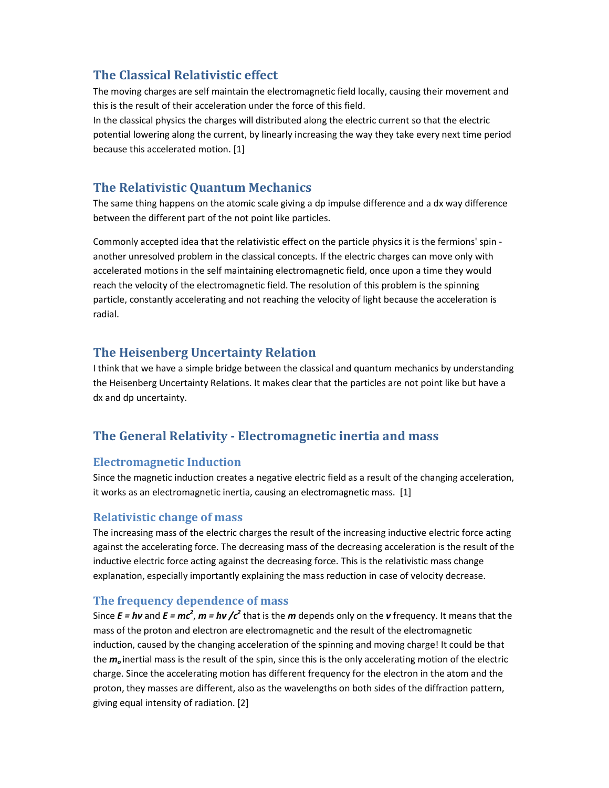# **The Classical Relativistic effect**

The moving charges are self maintain the electromagnetic field locally, causing their movement and this is the result of their acceleration under the force of this field.

In the classical physics the charges will distributed along the electric current so that the electric potential lowering along the current, by linearly increasing the way they take every next time period because this accelerated motion. [1]

# **The Relativistic Quantum Mechanics**

The same thing happens on the atomic scale giving a dp impulse difference and a dx way difference between the different part of the not point like particles.

Commonly accepted idea that the relativistic effect on the particle physics it is the fermions' spin another unresolved problem in the classical concepts. If the electric charges can move only with accelerated motions in the self maintaining electromagnetic field, once upon a time they would reach the velocity of the electromagnetic field. The resolution of this problem is the spinning particle, constantly accelerating and not reaching the velocity of light because the acceleration is radial.

# **The Heisenberg Uncertainty Relation**

I think that we have a simple bridge between the classical and quantum mechanics by understanding the Heisenberg Uncertainty Relations. It makes clear that the particles are not point like but have a dx and dp uncertainty.

# **The General Relativity - Electromagnetic inertia and mass**

## **Electromagnetic Induction**

Since the magnetic induction creates a negative electric field as a result of the changing acceleration, it works as an electromagnetic inertia, causing an electromagnetic mass. [1]

## **Relativistic change of mass**

The increasing mass of the electric charges the result of the increasing inductive electric force acting against the accelerating force. The decreasing mass of the decreasing acceleration is the result of the inductive electric force acting against the decreasing force. This is the relativistic mass change explanation, especially importantly explaining the mass reduction in case of velocity decrease.

## **The frequency dependence of mass**

Since  $E = h\nu$  and  $E = mc^2$ ,  $m = h\nu$  / $c^2$  that is the *m* depends only on the *v* frequency. It means that the mass of the proton and electron are electromagnetic and the result of the electromagnetic induction, caused by the changing acceleration of the spinning and moving charge! It could be that the *m<sup>o</sup>* inertial mass is the result of the spin, since this is the only accelerating motion of the electric charge. Since the accelerating motion has different frequency for the electron in the atom and the proton, they masses are different, also as the wavelengths on both sides of the diffraction pattern, giving equal intensity of radiation. [2]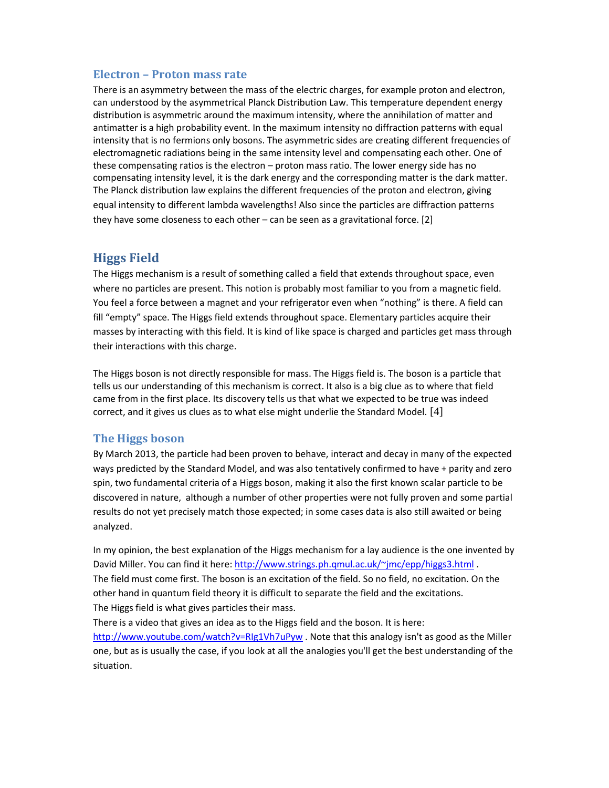#### **Electron – Proton mass rate**

There is an asymmetry between the mass of the electric charges, for example proton and electron, can understood by the asymmetrical Planck Distribution Law. This temperature dependent energy distribution is asymmetric around the maximum intensity, where the annihilation of matter and antimatter is a high probability event. In the maximum intensity no diffraction patterns with equal intensity that is no fermions only bosons. The asymmetric sides are creating different frequencies of electromagnetic radiations being in the same intensity level and compensating each other. One of these compensating ratios is the electron – proton mass ratio. The lower energy side has no compensating intensity level, it is the dark energy and the corresponding matter is the dark matter. The Planck distribution law explains the different frequencies of the proton and electron, giving equal intensity to different lambda wavelengths! Also since the particles are diffraction patterns they have some closeness to each other – can be seen as a gravitational force. [2]

## **Higgs Field**

The Higgs mechanism is a result of something called a field that extends throughout space, even where no particles are present. This notion is probably most familiar to you from a magnetic field. You feel a force between a magnet and your refrigerator even when "nothing" is there. A field can fill "empty" space. The Higgs field extends throughout space. Elementary particles acquire their masses by interacting with this field. It is kind of like space is charged and particles get mass through their interactions with this charge.

The Higgs boson is not directly responsible for mass. The Higgs field is. The boson is a particle that tells us our understanding of this mechanism is correct. It also is a big clue as to where that field came from in the first place. Its discovery tells us that what we expected to be true was indeed correct, and it gives us clues as to what else might underlie the Standard Model. [4]

#### **The Higgs boson**

By March 2013, the particle had been proven to behave, interact and decay in many of the expected ways predicted by the Standard Model, and was also tentatively confirmed to have + parity and zero spin, two fundamental criteria of a Higgs boson, making it also the first known scalar particle to be discovered in nature, although a number of other properties were not fully proven and some partial results do not yet precisely match those expected; in some cases data is also still awaited or being analyzed.

In my opinion, the best explanation of the Higgs mechanism for a lay audience is the one invented by David Miller. You can find it here: http://www.strings.ph.qmul.ac.uk/~jmc/epp/higgs3.html . The field must come first. The boson is an excitation of the field. So no field, no excitation. On the other hand in quantum field theory it is difficult to separate the field and the excitations. The Higgs field is what gives particles their mass.

There is a video that gives an idea as to the Higgs field and the boson. It is here: http://www.youtube.com/watch?v=RIg1Vh7uPyw . Note that this analogy isn't as good as the Miller one, but as is usually the case, if you look at all the analogies you'll get the best understanding of the situation.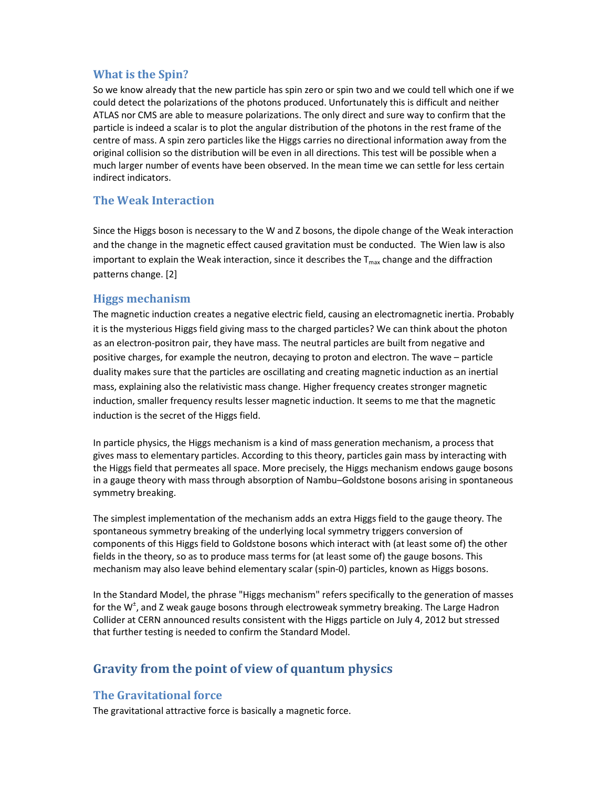## **What is the Spin?**

So we know already that the new particle has spin zero or spin two and we could tell which one if we could detect the polarizations of the photons produced. Unfortunately this is difficult and neither ATLAS nor CMS are able to measure polarizations. The only direct and sure way to confirm that the particle is indeed a scalar is to plot the angular distribution of the photons in the rest frame of the centre of mass. A spin zero particles like the Higgs carries no directional information away from the original collision so the distribution will be even in all directions. This test will be possible when a much larger number of events have been observed. In the mean time we can settle for less certain indirect indicators.

## **The Weak Interaction**

Since the Higgs boson is necessary to the W and Z bosons, the dipole change of the Weak interaction and the change in the magnetic effect caused gravitation must be conducted. The Wien law is also important to explain the Weak interaction, since it describes the  $T<sub>max</sub>$  change and the diffraction patterns change. [2]

#### **Higgs mechanism**

The magnetic induction creates a negative electric field, causing an electromagnetic inertia. Probably it is the mysterious Higgs field giving mass to the charged particles? We can think about the photon as an electron-positron pair, they have mass. The neutral particles are built from negative and positive charges, for example the neutron, decaying to proton and electron. The wave – particle duality makes sure that the particles are oscillating and creating magnetic induction as an inertial mass, explaining also the relativistic mass change. Higher frequency creates stronger magnetic induction, smaller frequency results lesser magnetic induction. It seems to me that the magnetic induction is the secret of the Higgs field.

In particle physics, the Higgs mechanism is a kind of mass generation mechanism, a process that gives mass to elementary particles. According to this theory, particles gain mass by interacting with the Higgs field that permeates all space. More precisely, the Higgs mechanism endows gauge bosons in a gauge theory with mass through absorption of Nambu–Goldstone bosons arising in spontaneous symmetry breaking.

The simplest implementation of the mechanism adds an extra Higgs field to the gauge theory. The spontaneous symmetry breaking of the underlying local symmetry triggers conversion of components of this Higgs field to Goldstone bosons which interact with (at least some of) the other fields in the theory, so as to produce mass terms for (at least some of) the gauge bosons. This mechanism may also leave behind elementary scalar (spin-0) particles, known as Higgs bosons.

In the Standard Model, the phrase "Higgs mechanism" refers specifically to the generation of masses for the W<sup>+</sup>, and Z weak gauge bosons through electroweak symmetry breaking. The Large Hadron Collider at CERN announced results consistent with the Higgs particle on July 4, 2012 but stressed that further testing is needed to confirm the Standard Model.

# **Gravity from the point of view of quantum physics**

## **The Gravitational force**

The gravitational attractive force is basically a magnetic force.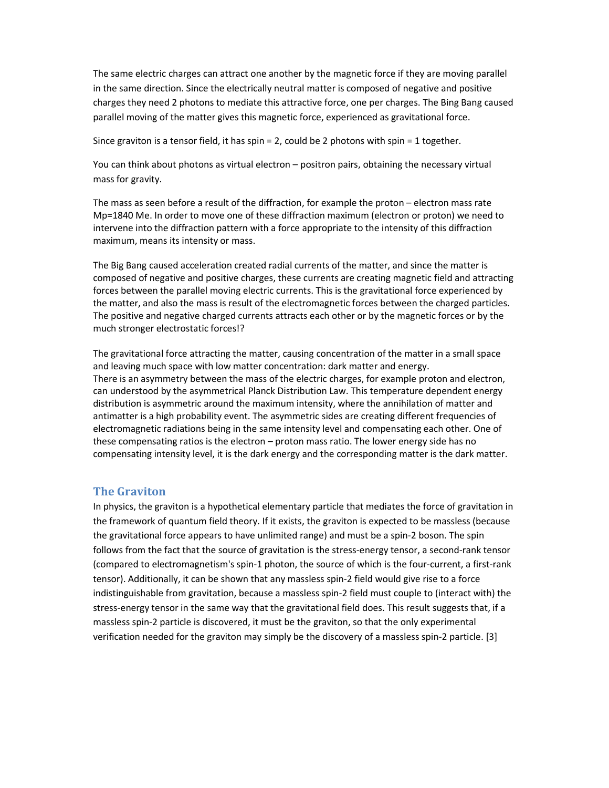The same electric charges can attract one another by the magnetic force if they are moving parallel in the same direction. Since the electrically neutral matter is composed of negative and positive charges they need 2 photons to mediate this attractive force, one per charges. The Bing Bang caused parallel moving of the matter gives this magnetic force, experienced as gravitational force.

Since graviton is a tensor field, it has spin = 2, could be 2 photons with spin = 1 together.

You can think about photons as virtual electron – positron pairs, obtaining the necessary virtual mass for gravity.

The mass as seen before a result of the diffraction, for example the proton – electron mass rate Mp=1840 Me. In order to move one of these diffraction maximum (electron or proton) we need to intervene into the diffraction pattern with a force appropriate to the intensity of this diffraction maximum, means its intensity or mass.

The Big Bang caused acceleration created radial currents of the matter, and since the matter is composed of negative and positive charges, these currents are creating magnetic field and attracting forces between the parallel moving electric currents. This is the gravitational force experienced by the matter, and also the mass is result of the electromagnetic forces between the charged particles. The positive and negative charged currents attracts each other or by the magnetic forces or by the much stronger electrostatic forces!?

The gravitational force attracting the matter, causing concentration of the matter in a small space and leaving much space with low matter concentration: dark matter and energy. There is an asymmetry between the mass of the electric charges, for example proton and electron, can understood by the asymmetrical Planck Distribution Law. This temperature dependent energy distribution is asymmetric around the maximum intensity, where the annihilation of matter and antimatter is a high probability event. The asymmetric sides are creating different frequencies of electromagnetic radiations being in the same intensity level and compensating each other. One of these compensating ratios is the electron – proton mass ratio. The lower energy side has no compensating intensity level, it is the dark energy and the corresponding matter is the dark matter.

#### **The Graviton**

In physics, the graviton is a hypothetical elementary particle that mediates the force of gravitation in the framework of quantum field theory. If it exists, the graviton is expected to be massless (because the gravitational force appears to have unlimited range) and must be a spin-2 boson. The spin follows from the fact that the source of gravitation is the stress-energy tensor, a second-rank tensor (compared to electromagnetism's spin-1 photon, the source of which is the four-current, a first-rank tensor). Additionally, it can be shown that any massless spin-2 field would give rise to a force indistinguishable from gravitation, because a massless spin-2 field must couple to (interact with) the stress-energy tensor in the same way that the gravitational field does. This result suggests that, if a massless spin-2 particle is discovered, it must be the graviton, so that the only experimental verification needed for the graviton may simply be the discovery of a massless spin-2 particle. [3]